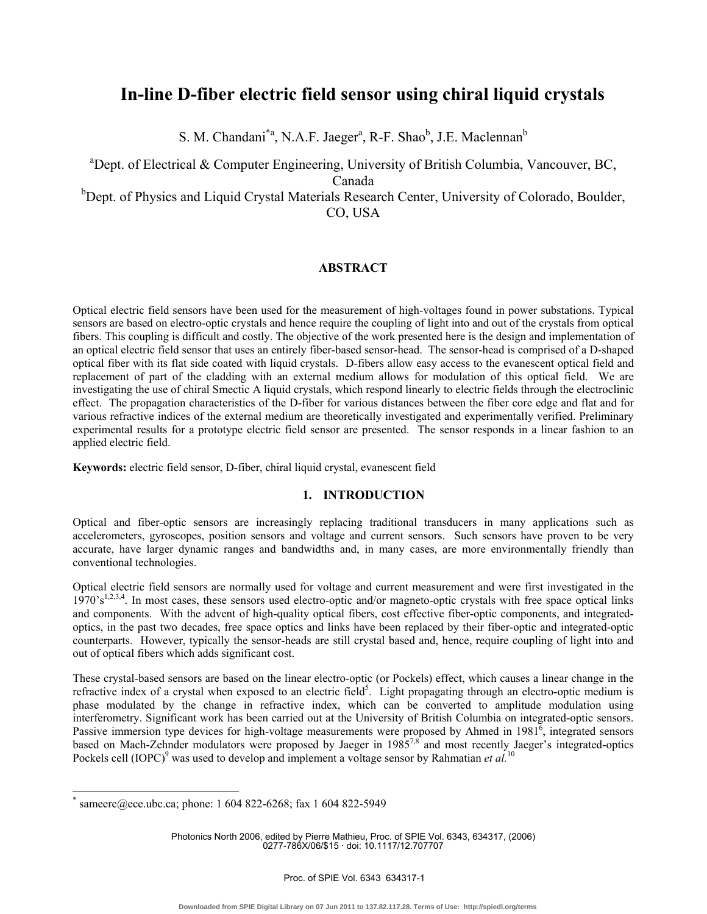# **In-line D-fiber electric field sensor using chiral liquid crystals**

S. M. Chandani<sup>\*a</sup>, N.A.F. Jaeger<sup>a</sup>, R-F. Shao<sup>b</sup>, J.E. Maclennan<sup>b</sup>

<sup>a</sup>Dept. of Electrical & Computer Engineering, University of British Columbia, Vancouver, BC,

Canada

<sup>b</sup>Dept. of Physics and Liquid Crystal Materials Research Center, University of Colorado, Boulder, CO, USA

# **ABSTRACT**

Optical electric field sensors have been used for the measurement of high-voltages found in power substations. Typical sensors are based on electro-optic crystals and hence require the coupling of light into and out of the crystals from optical fibers. This coupling is difficult and costly. The objective of the work presented here is the design and implementation of an optical electric field sensor that uses an entirely fiber-based sensor-head. The sensor-head is comprised of a D-shaped optical fiber with its flat side coated with liquid crystals. D-fibers allow easy access to the evanescent optical field and replacement of part of the cladding with an external medium allows for modulation of this optical field. We are investigating the use of chiral Smectic A liquid crystals, which respond linearly to electric fields through the electroclinic effect. The propagation characteristics of the D-fiber for various distances between the fiber core edge and flat and for various refractive indices of the external medium are theoretically investigated and experimentally verified. Preliminary experimental results for a prototype electric field sensor are presented. The sensor responds in a linear fashion to an applied electric field.

**Keywords:** electric field sensor, D-fiber, chiral liquid crystal, evanescent field

# **1. INTRODUCTION**

Optical and fiber-optic sensors are increasingly replacing traditional transducers in many applications such as accelerometers, gyroscopes, position sensors and voltage and current sensors. Such sensors have proven to be very accurate, have larger dynamic ranges and bandwidths and, in many cases, are more environmentally friendly than conventional technologies.

Optical electric field sensors are normally used for voltage and current measurement and were first investigated in the  $1970's^{1,2,3,4}$ . In most cases, these sensors used electro-optic and/or magneto-optic crystals with free space optical links and components. With the advent of high-quality optical fibers, cost effective fiber-optic components, and integratedoptics, in the past two decades, free space optics and links have been replaced by their fiber-optic and integrated-optic counterparts. However, typically the sensor-heads are still crystal based and, hence, require coupling of light into and out of optical fibers which adds significant cost.

These crystal-based sensors are based on the linear electro-optic (or Pockels) effect, which causes a linear change in the refractive index of a crystal when exposed to an electric field<sup>5</sup>. Light propagating through an electro-optic medium is phase modulated by the change in refractive index, which can be converted to amplitude modulation using interferometry. Significant work has been carried out at the University of British Columbia on integrated-optic sensors. Passive immersion type devices for high-voltage measurements were proposed by Ahmed in  $1981^6$ , integrated sensors based on Mach-Zehnder modulators were proposed by Jaeger in 1985<sup>7,8</sup> and most recently Jaeger's integrated-optics Pockels cell (IOPC)<sup>9</sup> was used to develop and implement a voltage sensor by Rahmatian *et al.*<sup>10</sup>

-

Photonics North 2006, edited by Pierre Mathieu, Proc. of SPIE Vol. 6343, 634317, (2006) 0277-786X/06/\$15 · doi: 10.1117/12.707707

<sup>\*</sup> sameerc@ece.ubc.ca; phone: 1 604 822-6268; fax 1 604 822-5949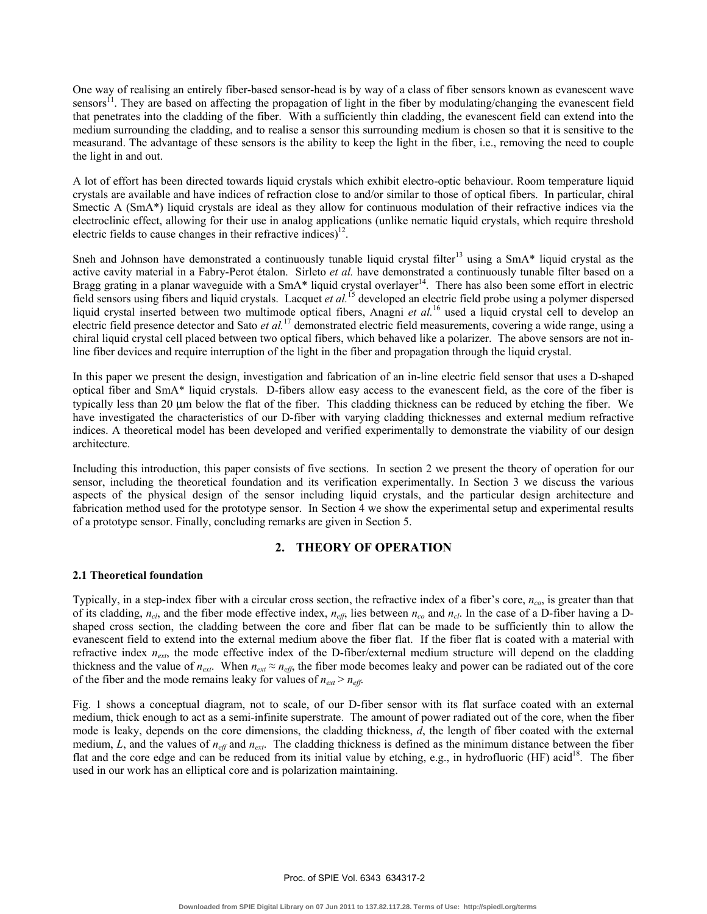One way of realising an entirely fiber-based sensor-head is by way of a class of fiber sensors known as evanescent wave sensors<sup>11</sup>. They are based on affecting the propagation of light in the fiber by modulating/changing the evanescent field that penetrates into the cladding of the fiber. With a sufficiently thin cladding, the evanescent field can extend into the medium surrounding the cladding, and to realise a sensor this surrounding medium is chosen so that it is sensitive to the measurand. The advantage of these sensors is the ability to keep the light in the fiber, i.e., removing the need to couple the light in and out.

A lot of effort has been directed towards liquid crystals which exhibit electro-optic behaviour. Room temperature liquid crystals are available and have indices of refraction close to and/or similar to those of optical fibers. In particular, chiral Smectic A (SmA<sup>\*</sup>) liquid crystals are ideal as they allow for continuous modulation of their refractive indices via the electroclinic effect, allowing for their use in analog applications (unlike nematic liquid crystals, which require threshold electric fields to cause changes in their refractive indices)<sup>12</sup>.

Sneh and Johnson have demonstrated a continuously tunable liquid crystal filter<sup>13</sup> using a SmA\* liquid crystal as the active cavity material in a Fabry-Perot étalon. Sirleto *et al.* have demonstrated a continuously tunable filter based on a Bragg grating in a planar waveguide with a SmA\* liquid crystal overlayer<sup>14</sup>. There has also been some effort in electric field sensors using fibers and liquid crystals. Lacquet *et al.*15 developed an electric field probe using a polymer dispersed liquid crystal inserted between two multimode optical fibers, Anagni *et al.*16 used a liquid crystal cell to develop an electric field presence detector and Sato *et al.*17 demonstrated electric field measurements, covering a wide range, using a chiral liquid crystal cell placed between two optical fibers, which behaved like a polarizer. The above sensors are not inline fiber devices and require interruption of the light in the fiber and propagation through the liquid crystal.

In this paper we present the design, investigation and fabrication of an in-line electric field sensor that uses a D-shaped optical fiber and SmA\* liquid crystals. D-fibers allow easy access to the evanescent field, as the core of the fiber is typically less than 20 µm below the flat of the fiber. This cladding thickness can be reduced by etching the fiber. We have investigated the characteristics of our D-fiber with varying cladding thicknesses and external medium refractive indices. A theoretical model has been developed and verified experimentally to demonstrate the viability of our design architecture.

Including this introduction, this paper consists of five sections. In section 2 we present the theory of operation for our sensor, including the theoretical foundation and its verification experimentally. In Section 3 we discuss the various aspects of the physical design of the sensor including liquid crystals, and the particular design architecture and fabrication method used for the prototype sensor. In Section 4 we show the experimental setup and experimental results of a prototype sensor. Finally, concluding remarks are given in Section 5.

# **2. THEORY OF OPERATION**

## **2.1 Theoretical foundation**

Typically, in a step-index fiber with a circular cross section, the refractive index of a fiber's core, *nco*, is greater than that of its cladding, *ncl*, and the fiber mode effective index, *neff*, lies between *nco* and *ncl*. In the case of a D-fiber having a Dshaped cross section, the cladding between the core and fiber flat can be made to be sufficiently thin to allow the evanescent field to extend into the external medium above the fiber flat. If the fiber flat is coated with a material with refractive index  $n_{ext}$ , the mode effective index of the D-fiber/external medium structure will depend on the cladding thickness and the value of  $n_{ext}$ . When  $n_{ext} \approx n_{eff}$ , the fiber mode becomes leaky and power can be radiated out of the core of the fiber and the mode remains leaky for values of  $n_{ext} > n_{eff}$ .

Fig. 1 shows a conceptual diagram, not to scale, of our D-fiber sensor with its flat surface coated with an external medium, thick enough to act as a semi-infinite superstrate. The amount of power radiated out of the core, when the fiber mode is leaky, depends on the core dimensions, the cladding thickness, *d*, the length of fiber coated with the external medium, *L*, and the values of  $n_{\text{eff}}$  and  $n_{\text{ext}}$ . The cladding thickness is defined as the minimum distance between the fiber flat and the core edge and can be reduced from its initial value by etching, e.g., in hydrofluoric (HF) acid<sup>18</sup>. The fiber used in our work has an elliptical core and is polarization maintaining.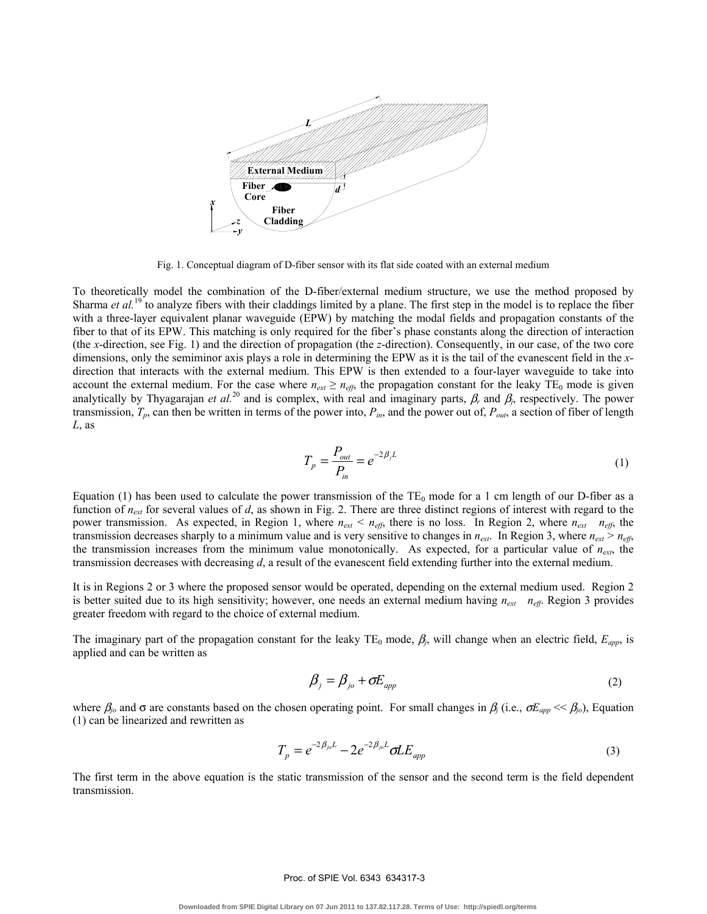

Fig. 1. Conceptual diagram of D-fiber sensor with its flat side coated with an external medium

To theoretically model the combination of the D-fiber/external medium structure, we use the method proposed by Sharma *et al.*<sup>19</sup> to analyze fibers with their claddings limited by a plane. The first step in the model is to replace the fiber with a three-layer equivalent planar waveguide (EPW) by matching the modal fields and propagation constants of the fiber to that of its EPW. This matching is only required for the fiber's phase constants along the direction of interaction (the *x*-direction, see Fig. 1) and the direction of propagation (the *z*-direction). Consequently, in our case, of the two core dimensions, only the semiminor axis plays a role in determining the EPW as it is the tail of the evanescent field in the *x*direction that interacts with the external medium. This EPW is then extended to a four-layer waveguide to take into account the external medium. For the case where  $n_{ext} \ge n_{eff}$ , the propagation constant for the leaky TE<sub>0</sub> mode is given analytically by Thyagarajan *et al.*<sup>20</sup> and is complex, with real and imaginary parts,  $\beta_r$  and  $\beta_j$ , respectively. The power transmission,  $T_p$ , can then be written in terms of the power into,  $P_{in}$ , and the power out of,  $P_{out}$ , a section of fiber of length *L*, as

$$
T_p = \frac{P_{out}}{P_{in}} = e^{-2\beta_j L}
$$
 (1)

Equation (1) has been used to calculate the power transmission of the  $TE_0$  mode for a 1 cm length of our D-fiber as a function of *next* for several values of *d*, as shown in Fig. 2. There are three distinct regions of interest with regard to the power transmission. As expected, in Region 1, where  $n_{ext} < n_{eff}$ , there is no loss. In Region 2, where  $n_{ext} = n_{eff}$ , the transmission decreases sharply to a minimum value and is very sensitive to changes in  $n_{ext}$ . In Region 3, where  $n_{ext} > n_{eff}$ , the transmission increases from the minimum value monotonically. As expected, for a particular value of  $n_{ext}$ , the transmission decreases with decreasing *d*, a result of the evanescent field extending further into the external medium.

It is in Regions 2 or 3 where the proposed sensor would be operated, depending on the external medium used. Region 2 is better suited due to its high sensitivity; however, one needs an external medium having  $n_{ext}$   $n_{eff}$ . Region 3 provides greater freedom with regard to the choice of external medium.

The imaginary part of the propagation constant for the leaky TE<sub>0</sub> mode,  $\beta_j$ , will change when an electric field,  $E_{app}$ , is applied and can be written as

$$
\beta_j = \beta_{j0} + \sigma E_{app} \tag{2}
$$

where  $\beta_i$  and  $\sigma$  are constants based on the chosen operating point. For small changes in  $\beta_i$  (i.e.,  $\sigma E_{app} \ll \beta_i$ ), Equation (1) can be linearized and rewritten as

$$
T_p = e^{-2\beta_{jo}L} - 2e^{-2\beta_{jo}L} \sigma L E_{app}
$$
\n(3)

The first term in the above equation is the static transmission of the sensor and the second term is the field dependent transmission.

#### Proc. of SPIE Vol. 6343 634317-3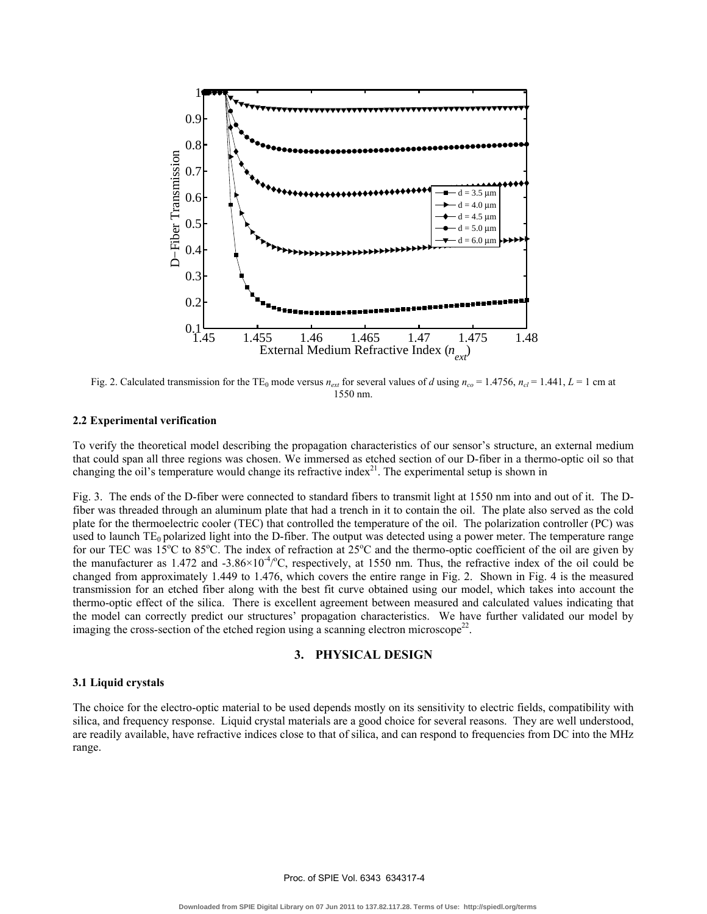

Fig. 2. Calculated transmission for the TE<sub>0</sub> mode versus  $n_{ext}$  for several values of *d* using  $n_{co} = 1.4756$ ,  $n_{cl} = 1.441$ ,  $L = 1$  cm at 1550 nm.

#### **2.2 Experimental verification**

To verify the theoretical model describing the propagation characteristics of our sensor's structure, an external medium that could span all three regions was chosen. We immersed as etched section of our D-fiber in a thermo-optic oil so that changing the oil's temperature would change its refractive index $^{21}$ . The experimental setup is shown in

Fig. 3. The ends of the D-fiber were connected to standard fibers to transmit light at 1550 nm into and out of it. The Dfiber was threaded through an aluminum plate that had a trench in it to contain the oil. The plate also served as the cold plate for the thermoelectric cooler (TEC) that controlled the temperature of the oil. The polarization controller (PC) was used to launch  $TE_0$  polarized light into the D-fiber. The output was detected using a power meter. The temperature range for our TEC was  $15^{\circ}$ C to  $85^{\circ}$ C. The index of refraction at  $25^{\circ}$ C and the thermo-optic coefficient of the oil are given by the manufacturer as 1.472 and  $-3.86 \times 10^{-4}$  °C, respectively, at 1550 nm. Thus, the refractive index of the oil could be changed from approximately 1.449 to 1.476, which covers the entire range in Fig. 2. Shown in Fig. 4 is the measured transmission for an etched fiber along with the best fit curve obtained using our model, which takes into account the thermo-optic effect of the silica. There is excellent agreement between measured and calculated values indicating that the model can correctly predict our structures' propagation characteristics. We have further validated our model by imaging the cross-section of the etched region using a scanning electron microscope<sup>22</sup>.

## **3. PHYSICAL DESIGN**

#### **3.1 Liquid crystals**

The choice for the electro-optic material to be used depends mostly on its sensitivity to electric fields, compatibility with silica, and frequency response. Liquid crystal materials are a good choice for several reasons. They are well understood, are readily available, have refractive indices close to that of silica, and can respond to frequencies from DC into the MHz range.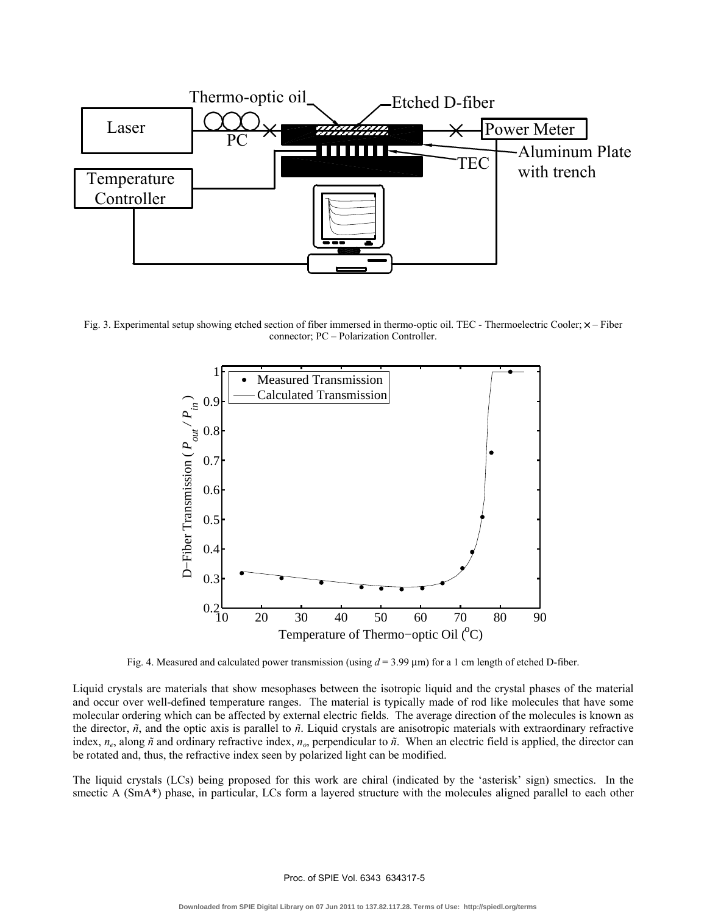

Fig. 3. Experimental setup showing etched section of fiber immersed in thermo-optic oil. TEC - Thermoelectric Cooler;  $\times$  – Fiber connector; PC – Polarization Controller.



Fig. 4. Measured and calculated power transmission (using *d* = 3.99 µm) for a 1 cm length of etched D-fiber.

Liquid crystals are materials that show mesophases between the isotropic liquid and the crystal phases of the material and occur over well-defined temperature ranges. The material is typically made of rod like molecules that have some molecular ordering which can be affected by external electric fields. The average direction of the molecules is known as the director, *ñ*, and the optic axis is parallel to *ñ*. Liquid crystals are anisotropic materials with extraordinary refractive index, *ne*, along *ñ* and ordinary refractive index, *no*, perpendicular to *ñ*. When an electric field is applied, the director can be rotated and, thus, the refractive index seen by polarized light can be modified.

The liquid crystals (LCs) being proposed for this work are chiral (indicated by the 'asterisk' sign) smectics. In the smectic A (SmA\*) phase, in particular, LCs form a layered structure with the molecules aligned parallel to each other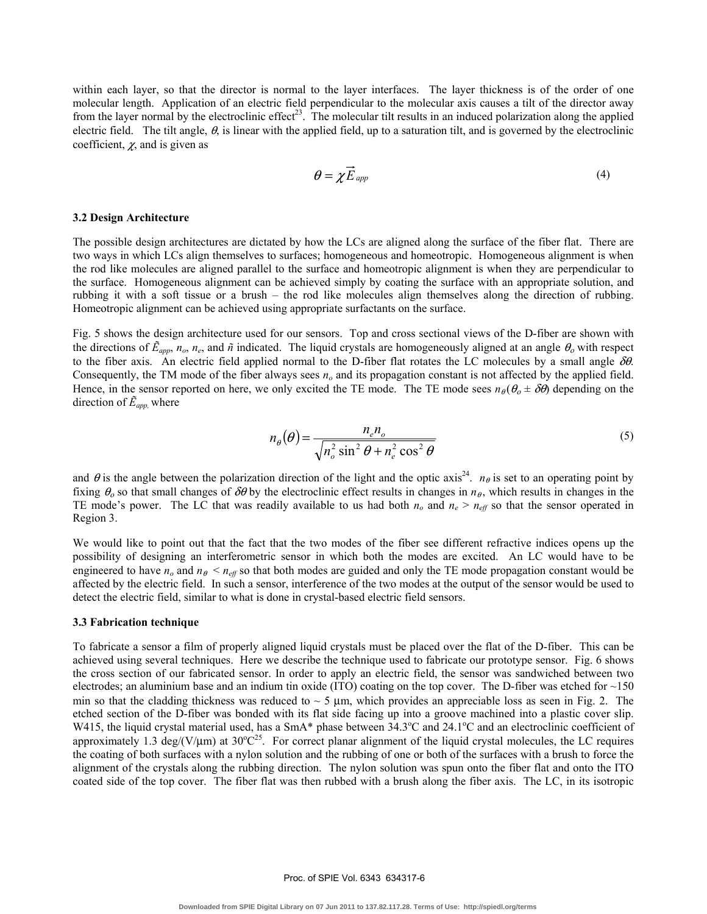within each layer, so that the director is normal to the layer interfaces. The layer thickness is of the order of one molecular length. Application of an electric field perpendicular to the molecular axis causes a tilt of the director away from the layer normal by the electroclinic effect<sup>23</sup>. The molecular tilt results in an induced polarization along the applied electric field. The tilt angle,  $\theta$ , is linear with the applied field, up to a saturation tilt, and is governed by the electroclinic coefficient,  $\chi$ , and is given as

$$
\theta = \chi \vec{E}_{app} \tag{4}
$$

#### **3.2 Design Architecture**

The possible design architectures are dictated by how the LCs are aligned along the surface of the fiber flat. There are two ways in which LCs align themselves to surfaces; homogeneous and homeotropic. Homogeneous alignment is when the rod like molecules are aligned parallel to the surface and homeotropic alignment is when they are perpendicular to the surface. Homogeneous alignment can be achieved simply by coating the surface with an appropriate solution, and rubbing it with a soft tissue or a brush – the rod like molecules align themselves along the direction of rubbing. Homeotropic alignment can be achieved using appropriate surfactants on the surface.

Fig. 5 shows the design architecture used for our sensors. Top and cross sectional views of the D-fiber are shown with the directions of  $\tilde{E}_{app}$ ,  $n_o$ ,  $n_e$ , and  $\tilde{n}$  indicated. The liquid crystals are homogeneously aligned at an angle  $\theta_o$  with respect to the fiber axis. An electric field applied normal to the D-fiber flat rotates the LC molecules by a small angle  $\delta\theta$ . Consequently, the TM mode of the fiber always sees  $n<sub>o</sub>$  and its propagation constant is not affected by the applied field. Hence, in the sensor reported on here, we only excited the TE mode. The TE mode sees  $n_{\theta}(\theta_{o} \pm \delta \theta)$  depending on the direction of *Ẽapp,* where

$$
n_{\theta}(\theta) = \frac{n_{e}n_{o}}{\sqrt{n_{o}^{2}\sin^{2}\theta + n_{e}^{2}\cos^{2}\theta}}
$$
(5)

and  $\theta$  is the angle between the polarization direction of the light and the optic axis<sup>24</sup>. *n*<sub> $\theta$ </sub> is set to an operating point by fixing  $\theta_0$  so that small changes of  $\delta\theta$  by the electroclinic effect results in changes in  $n_\theta$ , which results in changes in the TE mode's power. The LC that was readily available to us had both  $n<sub>o</sub>$  and  $n<sub>e</sub> > n<sub>eff</sub>$  so that the sensor operated in Region 3.

We would like to point out that the fact that the two modes of the fiber see different refractive indices opens up the possibility of designing an interferometric sensor in which both the modes are excited. An LC would have to be engineered to have  $n_o$  and  $n_\theta < n_{\text{eff}}$  so that both modes are guided and only the TE mode propagation constant would be affected by the electric field. In such a sensor, interference of the two modes at the output of the sensor would be used to detect the electric field, similar to what is done in crystal-based electric field sensors.

#### **3.3 Fabrication technique**

To fabricate a sensor a film of properly aligned liquid crystals must be placed over the flat of the D-fiber. This can be achieved using several techniques. Here we describe the technique used to fabricate our prototype sensor. Fig. 6 shows the cross section of our fabricated sensor. In order to apply an electric field, the sensor was sandwiched between two electrodes; an aluminium base and an indium tin oxide (ITO) coating on the top cover. The D-fiber was etched for  $\sim$ 150 min so that the cladding thickness was reduced to  $\sim$  5  $\mu$ m, which provides an appreciable loss as seen in Fig. 2. The etched section of the D-fiber was bonded with its flat side facing up into a groove machined into a plastic cover slip. W415, the liquid crystal material used, has a SmA\* phase between 34.3°C and 24.1°C and an electroclinic coefficient of approximately 1.3 deg/( $V/\mu$ m) at 30 $^{\circ}C^{25}$ . For correct planar alignment of the liquid crystal molecules, the LC requires the coating of both surfaces with a nylon solution and the rubbing of one or both of the surfaces with a brush to force the alignment of the crystals along the rubbing direction. The nylon solution was spun onto the fiber flat and onto the ITO coated side of the top cover. The fiber flat was then rubbed with a brush along the fiber axis. The LC, in its isotropic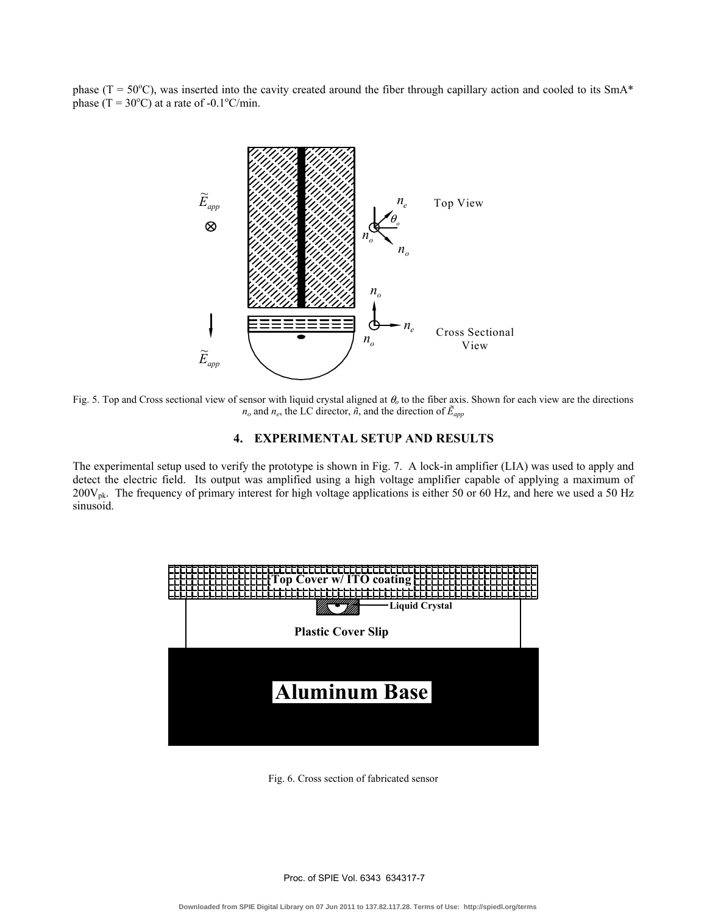phase ( $T = 50^{\circ}$ C), was inserted into the cavity created around the fiber through capillary action and cooled to its SmA\* phase  $(T = 30^{\circ}C)$  at a rate of -0.1°C/min.



Fig. 5. Top and Cross sectional view of sensor with liquid crystal aligned at θ*o* to the fiber axis. Shown for each view are the directions  $n_o$  and  $n_e$ , the LC director,  $\tilde{n}$ , and the direction of  $\tilde{E}_{app}$ 

# **4. EXPERIMENTAL SETUP AND RESULTS**

The experimental setup used to verify the prototype is shown in Fig. 7. A lock-in amplifier (LIA) was used to apply and detect the electric field. Its output was amplified using a high voltage amplifier capable of applying a maximum of 200V<sub>pk</sub>. The frequency of primary interest for high voltage applications is either 50 or 60 Hz, and here we used a 50 Hz sinusoid.



Fig. 6. Cross section of fabricated sensor

Proc. of SPIE Vol. 6343 634317-7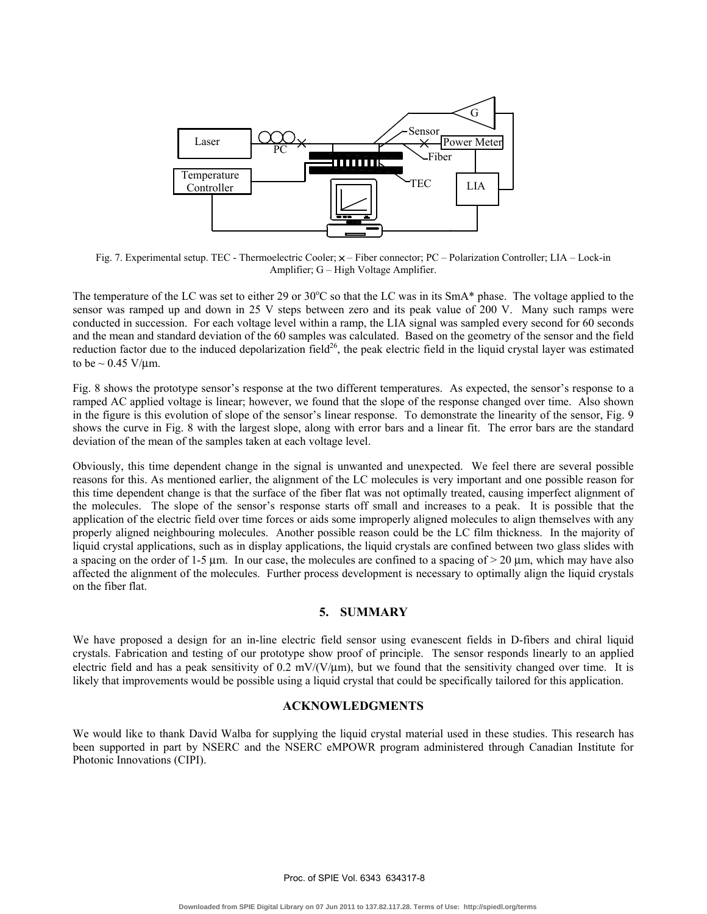

Fig. 7. Experimental setup. TEC - Thermoelectric Cooler; × – Fiber connector; PC – Polarization Controller; LIA – Lock-in Amplifier; G – High Voltage Amplifier.

The temperature of the LC was set to either 29 or  $30^{\circ}$ C so that the LC was in its SmA\* phase. The voltage applied to the sensor was ramped up and down in 25 V steps between zero and its peak value of 200 V. Many such ramps were conducted in succession. For each voltage level within a ramp, the LIA signal was sampled every second for 60 seconds and the mean and standard deviation of the 60 samples was calculated. Based on the geometry of the sensor and the field reduction factor due to the induced depolarization field<sup>26</sup>, the peak electric field in the liquid crystal layer was estimated to be  $\sim 0.45$  V/um.

Fig. 8 shows the prototype sensor's response at the two different temperatures. As expected, the sensor's response to a ramped AC applied voltage is linear; however, we found that the slope of the response changed over time. Also shown in the figure is this evolution of slope of the sensor's linear response. To demonstrate the linearity of the sensor, Fig. 9 shows the curve in Fig. 8 with the largest slope, along with error bars and a linear fit. The error bars are the standard deviation of the mean of the samples taken at each voltage level.

Obviously, this time dependent change in the signal is unwanted and unexpected. We feel there are several possible reasons for this. As mentioned earlier, the alignment of the LC molecules is very important and one possible reason for this time dependent change is that the surface of the fiber flat was not optimally treated, causing imperfect alignment of the molecules. The slope of the sensor's response starts off small and increases to a peak. It is possible that the application of the electric field over time forces or aids some improperly aligned molecules to align themselves with any properly aligned neighbouring molecules. Another possible reason could be the LC film thickness. In the majority of liquid crystal applications, such as in display applications, the liquid crystals are confined between two glass slides with a spacing on the order of 1-5 µm. In our case, the molecules are confined to a spacing of  $>$  20 µm, which may have also affected the alignment of the molecules. Further process development is necessary to optimally align the liquid crystals on the fiber flat.

# **5. SUMMARY**

We have proposed a design for an in-line electric field sensor using evanescent fields in D-fibers and chiral liquid crystals. Fabrication and testing of our prototype show proof of principle. The sensor responds linearly to an applied electric field and has a peak sensitivity of 0.2 mV/(V/ $\mu$ m), but we found that the sensitivity changed over time. It is likely that improvements would be possible using a liquid crystal that could be specifically tailored for this application.

# **ACKNOWLEDGMENTS**

We would like to thank David Walba for supplying the liquid crystal material used in these studies. This research has been supported in part by NSERC and the NSERC eMPOWR program administered through Canadian Institute for Photonic Innovations (CIPI).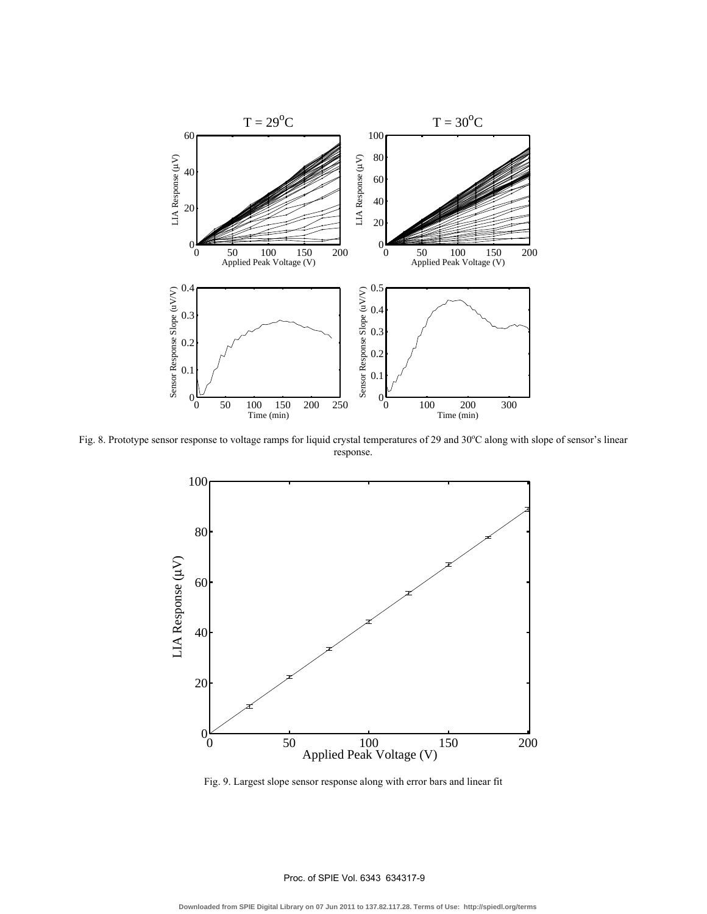

Fig. 8. Prototype sensor response to voltage ramps for liquid crystal temperatures of 29 and  $30^{\circ}$ C along with slope of sensor's linear response.



Fig. 9. Largest slope sensor response along with error bars and linear fit

## Proc. of SPIE Vol. 6343 634317-9